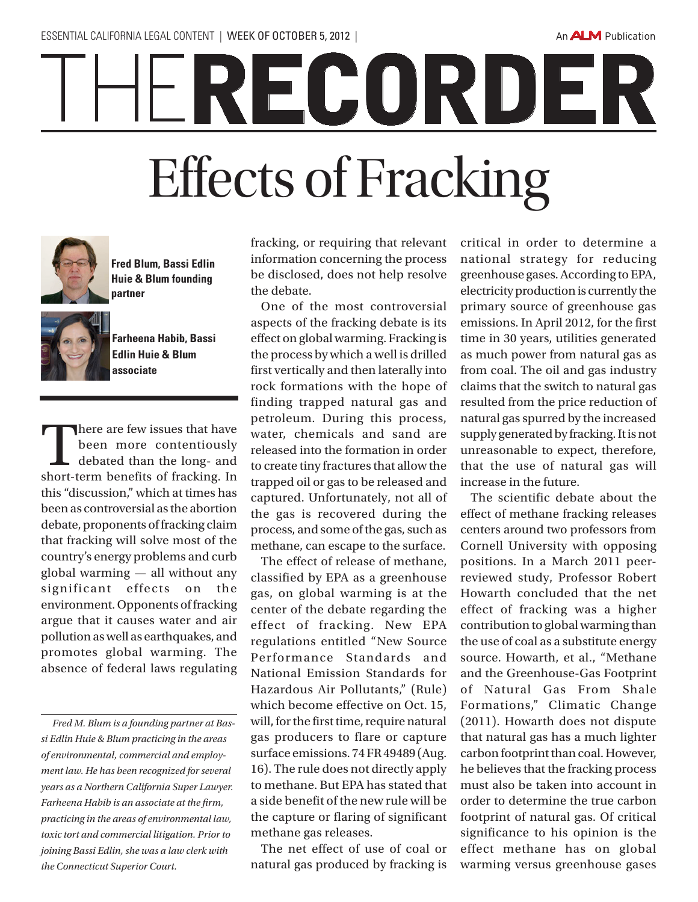RECORDER Effects of Fracking



**Fred Blum, Bassi Edlin Huie & Blum founding partner** 



**Farheena Habib, Bassi Edlin Huie & Blum associate**

There are few issues that have<br>been more contentiously<br>debated than the long- and<br>short-term benefits of fracking In been more contentiously debated than the long- and short-term benefits of fracking. In this "discussion," which at times has been as controversial as the abortion debate, proponents of fracking claim that fracking will solve most of the country's energy problems and curb global warming — all without any significant effects on the environment. Opponents of fracking argue that it causes water and air pollution as well as earthquakes, and promotes global warming. The absence of federal laws regulating

*Fred M. Blum is a founding partner at Bassi Edlin Huie & Blum practicing in the areas of environmental, commercial and employment law. He has been recognized for several years as a Northern California Super Lawyer. Farheena Habib is an associate at the firm, practicing in the areas of environmental law, toxic tort and commercial litigation. Prior to joining Bassi Edlin, she was a law clerk with the Connecticut Superior Court.*

fracking, or requiring that relevant information concerning the process be disclosed, does not help resolve the debate.

One of the most controversial aspects of the fracking debate is its effect on global warming. Fracking is the process by which a well is drilled first vertically and then laterally into rock formations with the hope of finding trapped natural gas and petroleum. During this process, water, chemicals and sand are released into the formation in order to create tiny fractures that allow the trapped oil or gas to be released and captured. Unfortunately, not all of the gas is recovered during the process, and some of the gas, such as methane, can escape to the surface.

The effect of release of methane, classified by EPA as a greenhouse gas, on global warming is at the center of the debate regarding the effect of fracking. New EPA regulations entitled "New Source Performance Standards and National Emission Standards for Hazardous Air Pollutants," (Rule) which become effective on Oct. 15, will, for the first time, require natural gas producers to flare or capture surface emissions. 74 FR 49489 (Aug. 16). The rule does not directly apply to methane. But EPA has stated that a side benefit of the new rule will be the capture or flaring of significant methane gas releases.

The net effect of use of coal or natural gas produced by fracking is critical in order to determine a national strategy for reducing greenhouse gases. According to EPA, electricity production is currently the primary source of greenhouse gas emissions. In April 2012, for the first time in 30 years, utilities generated as much power from natural gas as from coal. The oil and gas industry claims that the switch to natural gas resulted from the price reduction of natural gas spurred by the increased supply generated by fracking. It is not unreasonable to expect, therefore, that the use of natural gas will increase in the future.

An **ALM** Publication

The scientific debate about the effect of methane fracking releases centers around two professors from Cornell University with opposing positions. In a March 2011 peerreviewed study, Professor Robert Howarth concluded that the net effect of fracking was a higher contribution to global warming than the use of coal as a substitute energy source. Howarth, et al., "Methane and the Greenhouse-Gas Footprint of Natural Gas From Shale Formations," Climatic Change (2011). Howarth does not dispute that natural gas has a much lighter carbon footprint than coal. However, he believes that the fracking process must also be taken into account in order to determine the true carbon footprint of natural gas. Of critical significance to his opinion is the effect methane has on global warming versus greenhouse gases